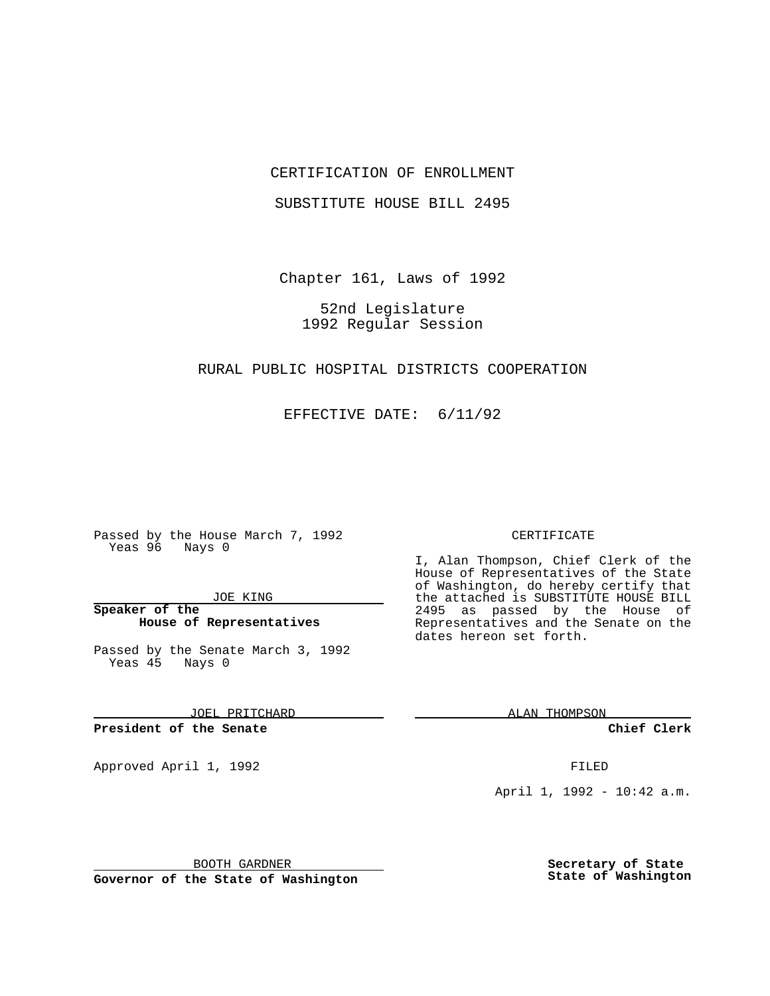## CERTIFICATION OF ENROLLMENT

SUBSTITUTE HOUSE BILL 2495

Chapter 161, Laws of 1992

52nd Legislature 1992 Regular Session

### RURAL PUBLIC HOSPITAL DISTRICTS COOPERATION

EFFECTIVE DATE: 6/11/92

Passed by the House March 7, 1992 Yeas 96 Nays 0

JOE KING

**Speaker of the House of Representatives**

Passed by the Senate March 3, 1992 Yeas 45 Nays 0

JOEL PRITCHARD

**President of the Senate**

Approved April 1, 1992 **FILED** 

#### CERTIFICATE

I, Alan Thompson, Chief Clerk of the House of Representatives of the State of Washington, do hereby certify that the attached is SUBSTITUTE HOUSE BILL 2495 as passed by the House of Representatives and the Senate on the dates hereon set forth.

ALAN THOMPSON

**Chief Clerk**

April 1, 1992 - 10:42 a.m.

BOOTH GARDNER

**Governor of the State of Washington**

**Secretary of State State of Washington**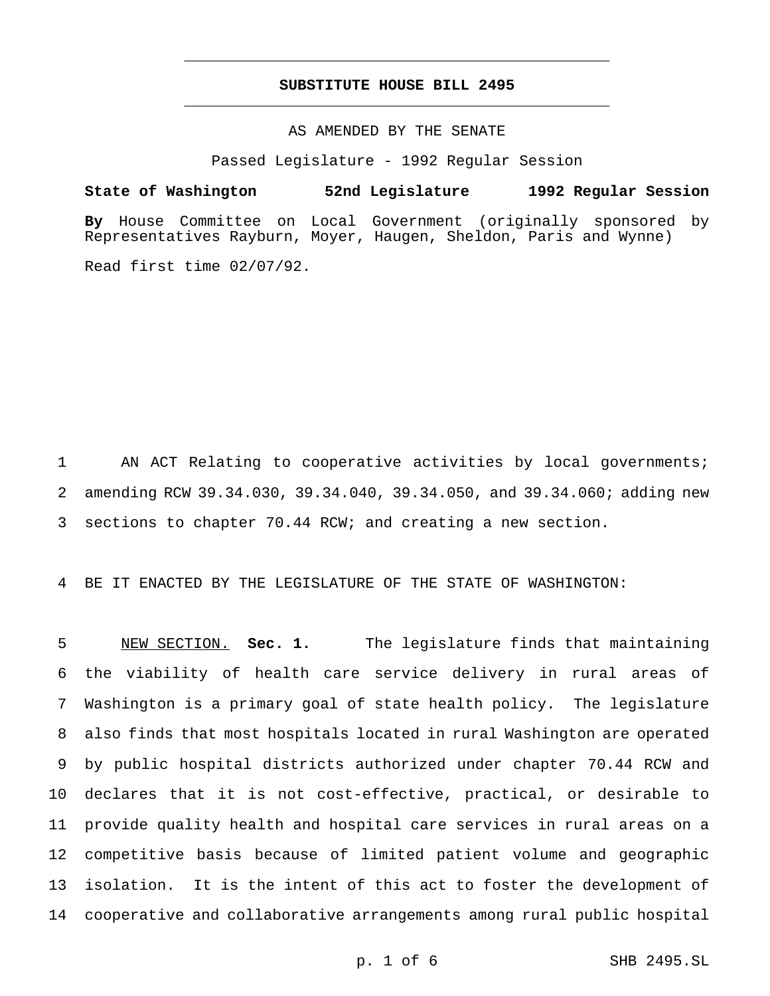# **SUBSTITUTE HOUSE BILL 2495** \_\_\_\_\_\_\_\_\_\_\_\_\_\_\_\_\_\_\_\_\_\_\_\_\_\_\_\_\_\_\_\_\_\_\_\_\_\_\_\_\_\_\_\_\_\_\_

\_\_\_\_\_\_\_\_\_\_\_\_\_\_\_\_\_\_\_\_\_\_\_\_\_\_\_\_\_\_\_\_\_\_\_\_\_\_\_\_\_\_\_\_\_\_\_

# AS AMENDED BY THE SENATE

Passed Legislature - 1992 Regular Session

#### **State of Washington 52nd Legislature 1992 Regular Session**

**By** House Committee on Local Government (originally sponsored by Representatives Rayburn, Moyer, Haugen, Sheldon, Paris and Wynne)

Read first time 02/07/92.

1 AN ACT Relating to cooperative activities by local governments; 2 amending RCW 39.34.030, 39.34.040, 39.34.050, and 39.34.060; adding new 3 sections to chapter 70.44 RCW; and creating a new section.

4 BE IT ENACTED BY THE LEGISLATURE OF THE STATE OF WASHINGTON:

 NEW SECTION. **Sec. 1.** The legislature finds that maintaining the viability of health care service delivery in rural areas of Washington is a primary goal of state health policy. The legislature also finds that most hospitals located in rural Washington are operated by public hospital districts authorized under chapter 70.44 RCW and declares that it is not cost-effective, practical, or desirable to provide quality health and hospital care services in rural areas on a competitive basis because of limited patient volume and geographic isolation. It is the intent of this act to foster the development of cooperative and collaborative arrangements among rural public hospital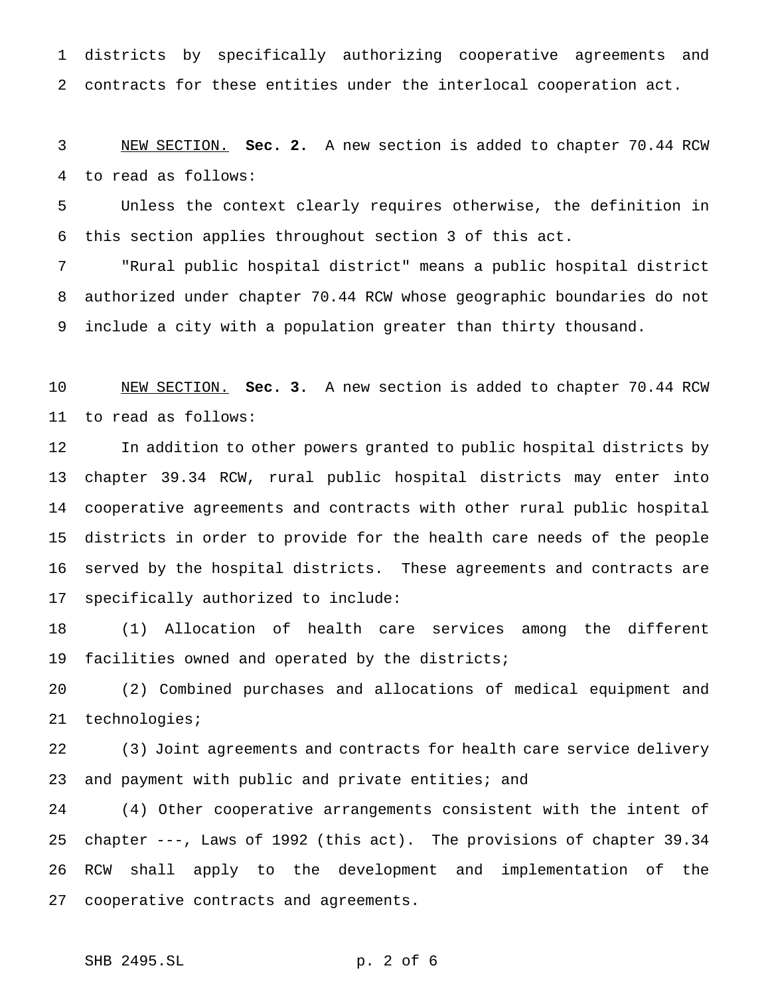districts by specifically authorizing cooperative agreements and contracts for these entities under the interlocal cooperation act.

 NEW SECTION. **Sec. 2.** A new section is added to chapter 70.44 RCW to read as follows:

 Unless the context clearly requires otherwise, the definition in this section applies throughout section 3 of this act.

 "Rural public hospital district" means a public hospital district authorized under chapter 70.44 RCW whose geographic boundaries do not include a city with a population greater than thirty thousand.

 NEW SECTION. **Sec. 3.** A new section is added to chapter 70.44 RCW to read as follows:

 In addition to other powers granted to public hospital districts by chapter 39.34 RCW, rural public hospital districts may enter into cooperative agreements and contracts with other rural public hospital districts in order to provide for the health care needs of the people served by the hospital districts. These agreements and contracts are specifically authorized to include:

 (1) Allocation of health care services among the different facilities owned and operated by the districts;

 (2) Combined purchases and allocations of medical equipment and technologies;

 (3) Joint agreements and contracts for health care service delivery and payment with public and private entities; and

 (4) Other cooperative arrangements consistent with the intent of chapter ---, Laws of 1992 (this act). The provisions of chapter 39.34 RCW shall apply to the development and implementation of the cooperative contracts and agreements.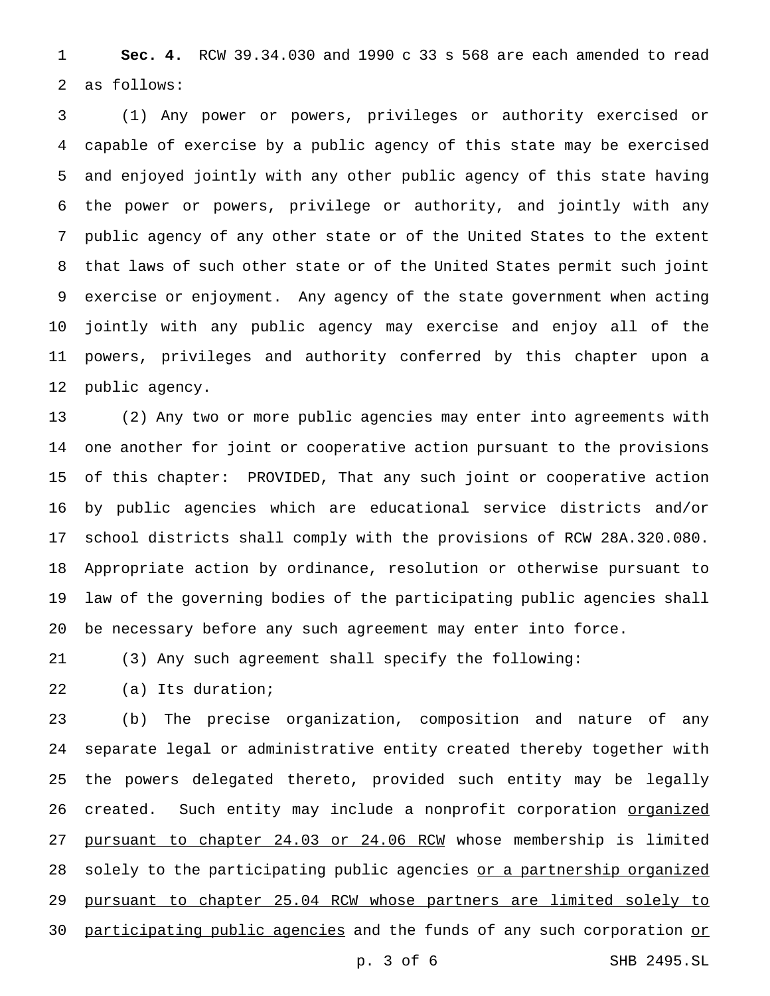**Sec. 4.** RCW 39.34.030 and 1990 c 33 s 568 are each amended to read as follows:

 (1) Any power or powers, privileges or authority exercised or capable of exercise by a public agency of this state may be exercised and enjoyed jointly with any other public agency of this state having the power or powers, privilege or authority, and jointly with any public agency of any other state or of the United States to the extent that laws of such other state or of the United States permit such joint exercise or enjoyment. Any agency of the state government when acting jointly with any public agency may exercise and enjoy all of the powers, privileges and authority conferred by this chapter upon a public agency.

 (2) Any two or more public agencies may enter into agreements with one another for joint or cooperative action pursuant to the provisions of this chapter: PROVIDED, That any such joint or cooperative action by public agencies which are educational service districts and/or school districts shall comply with the provisions of RCW 28A.320.080. Appropriate action by ordinance, resolution or otherwise pursuant to law of the governing bodies of the participating public agencies shall be necessary before any such agreement may enter into force.

(3) Any such agreement shall specify the following:

(a) Its duration;

 (b) The precise organization, composition and nature of any separate legal or administrative entity created thereby together with the powers delegated thereto, provided such entity may be legally 26 created. Such entity may include a nonprofit corporation organized 27 pursuant to chapter 24.03 or 24.06 RCW whose membership is limited 28 solely to the participating public agencies or a partnership organized pursuant to chapter 25.04 RCW whose partners are limited solely to 30 participating public agencies and the funds of any such corporation or

p. 3 of 6 SHB 2495.SL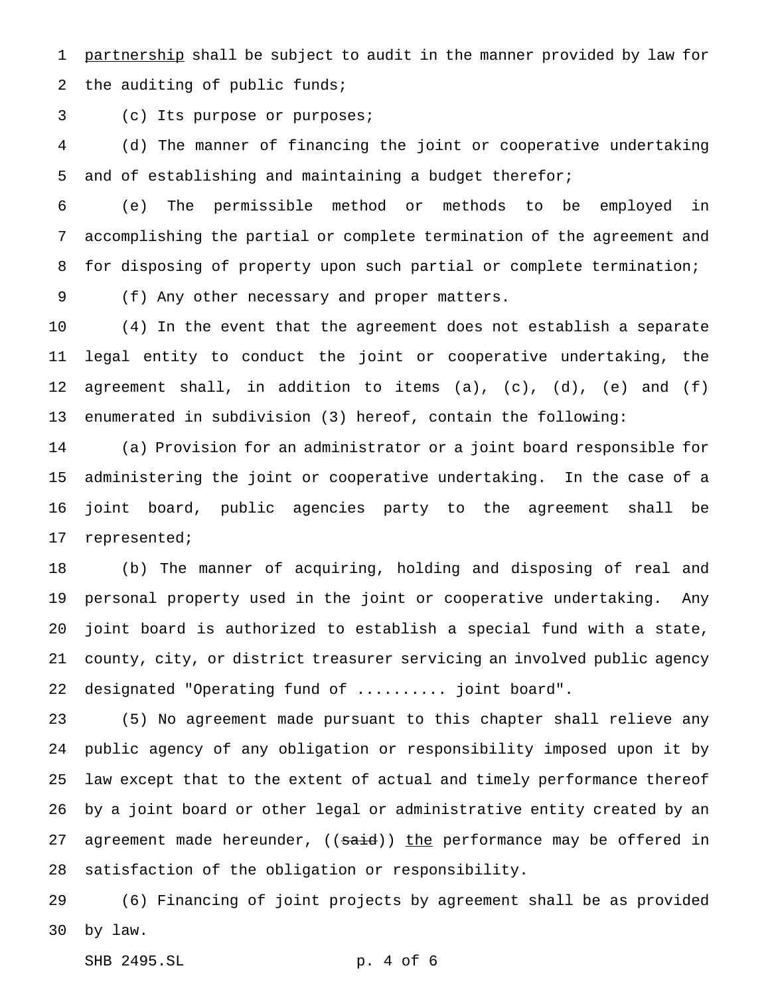1 partnership shall be subject to audit in the manner provided by law for the auditing of public funds;

(c) Its purpose or purposes;

 (d) The manner of financing the joint or cooperative undertaking and of establishing and maintaining a budget therefor;

 (e) The permissible method or methods to be employed in accomplishing the partial or complete termination of the agreement and for disposing of property upon such partial or complete termination;

(f) Any other necessary and proper matters.

 (4) In the event that the agreement does not establish a separate legal entity to conduct the joint or cooperative undertaking, the agreement shall, in addition to items (a), (c), (d), (e) and (f) enumerated in subdivision (3) hereof, contain the following:

 (a) Provision for an administrator or a joint board responsible for administering the joint or cooperative undertaking. In the case of a joint board, public agencies party to the agreement shall be represented;

 (b) The manner of acquiring, holding and disposing of real and personal property used in the joint or cooperative undertaking. Any joint board is authorized to establish a special fund with a state, county, city, or district treasurer servicing an involved public agency designated "Operating fund of .......... joint board".

 (5) No agreement made pursuant to this chapter shall relieve any public agency of any obligation or responsibility imposed upon it by law except that to the extent of actual and timely performance thereof by a joint board or other legal or administrative entity created by an 27 agreement made hereunder, ((said)) the performance may be offered in satisfaction of the obligation or responsibility.

 (6) Financing of joint projects by agreement shall be as provided by law.

SHB 2495.SL p. 4 of 6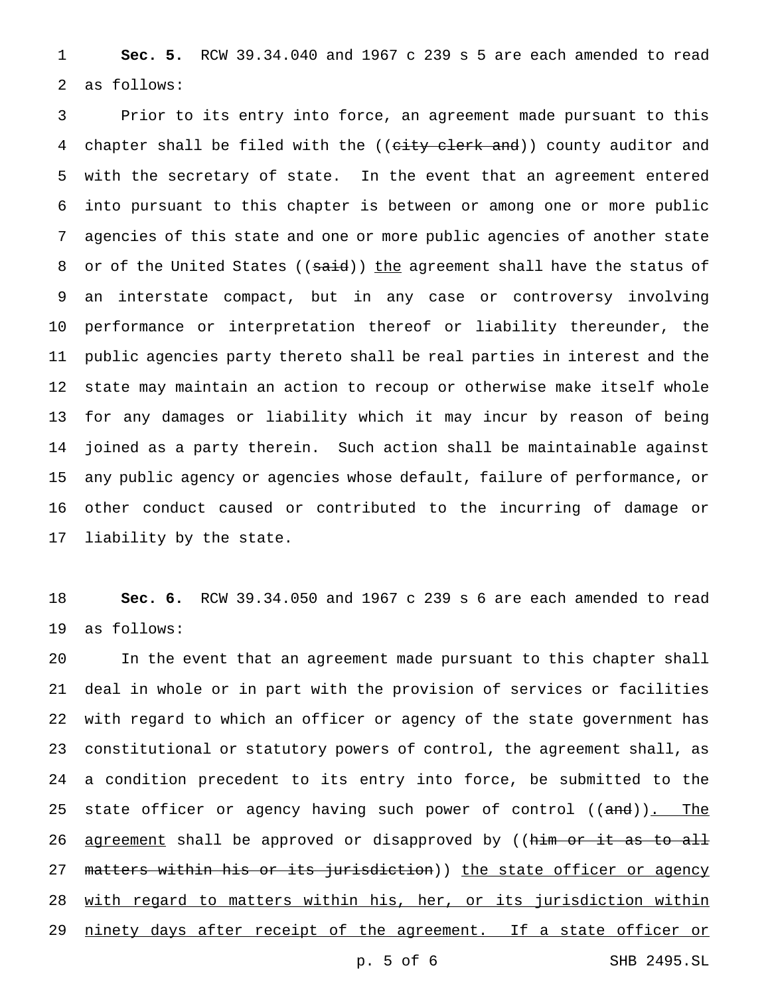**Sec. 5.** RCW 39.34.040 and 1967 c 239 s 5 are each amended to read as follows:

 Prior to its entry into force, an agreement made pursuant to this 4 chapter shall be filed with the ((city clerk and)) county auditor and with the secretary of state. In the event that an agreement entered into pursuant to this chapter is between or among one or more public agencies of this state and one or more public agencies of another state 8 or of the United States ((said)) the agreement shall have the status of an interstate compact, but in any case or controversy involving performance or interpretation thereof or liability thereunder, the public agencies party thereto shall be real parties in interest and the state may maintain an action to recoup or otherwise make itself whole for any damages or liability which it may incur by reason of being joined as a party therein. Such action shall be maintainable against any public agency or agencies whose default, failure of performance, or other conduct caused or contributed to the incurring of damage or liability by the state.

 **Sec. 6.** RCW 39.34.050 and 1967 c 239 s 6 are each amended to read as follows:

 In the event that an agreement made pursuant to this chapter shall deal in whole or in part with the provision of services or facilities with regard to which an officer or agency of the state government has constitutional or statutory powers of control, the agreement shall, as a condition precedent to its entry into force, be submitted to the 25 state officer or agency having such power of control ((and)). The 26 <u>agreement</u> shall be approved or disapproved by ((him or it as to all 27 matters within his or its jurisdiction)) the state officer or agency 28 with regard to matters within his, her, or its jurisdiction within 29 ninety days after receipt of the agreement. If a state officer or